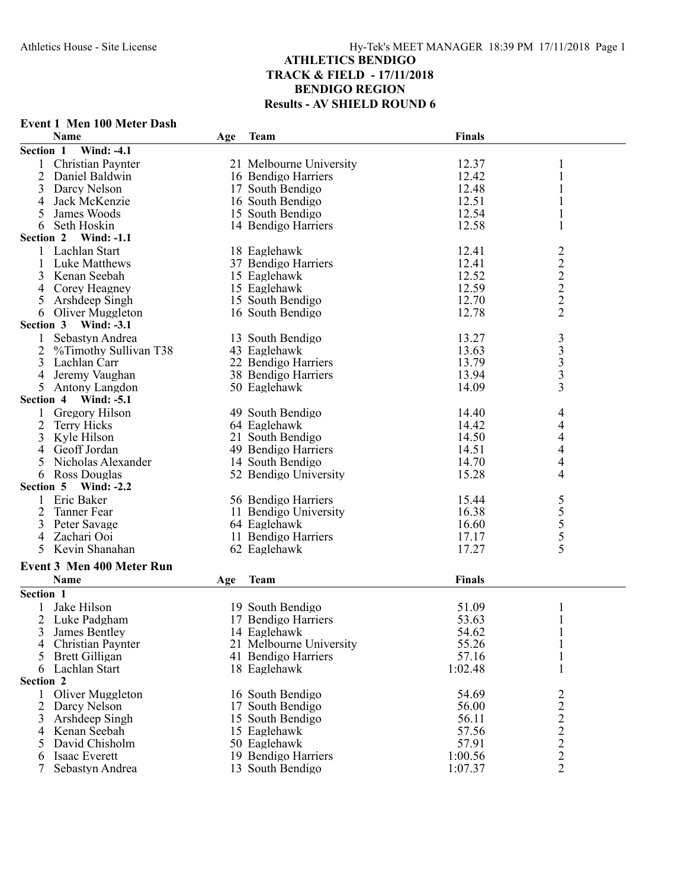## **Event 1 Men 100 Meter Dash**

|                  | <b>Name</b>                      | Age | <b>Team</b>             | Finals  |                         |  |
|------------------|----------------------------------|-----|-------------------------|---------|-------------------------|--|
| Section 1        | <b>Wind: -4.1</b>                |     |                         |         |                         |  |
|                  | Christian Paynter                |     | 21 Melbourne University | 12.37   | 1                       |  |
| $\overline{2}$   | Daniel Baldwin                   |     | 16 Bendigo Harriers     | 12.42   | 1                       |  |
| 3                | Darcy Nelson                     |     | 17 South Bendigo        | 12.48   |                         |  |
| 4                | Jack McKenzie                    |     | 16 South Bendigo        | 12.51   |                         |  |
| 5                | James Woods                      |     | 15 South Bendigo        | 12.54   |                         |  |
| 6                | Seth Hoskin                      |     | 14 Bendigo Harriers     | 12.58   | 1                       |  |
| Section 2        | <b>Wind: -1.1</b>                |     |                         |         |                         |  |
|                  | Lachlan Start                    |     | 18 Eaglehawk            | 12.41   | $\overline{\mathbf{c}}$ |  |
| 1                | Luke Matthews                    |     | 37 Bendigo Harriers     | 12.41   | $\overline{c}$          |  |
| 3                | Kenan Seebah                     |     | 15 Eaglehawk            | 12.52   |                         |  |
|                  | Corey Heagney                    |     | 15 Eaglehawk            | 12.59   | $\frac{2}{2}$           |  |
| 4                |                                  |     |                         | 12.70   |                         |  |
| 5                | Arshdeep Singh                   |     | 15 South Bendigo        |         | $\overline{2}$          |  |
| 6                | Oliver Muggleton                 |     | 16 South Bendigo        | 12.78   |                         |  |
| Section 3        | <b>Wind: -3.1</b>                |     |                         |         |                         |  |
| 1                | Sebastyn Andrea                  |     | 13 South Bendigo        | 13.27   | $\frac{3}{3}$           |  |
| 2                | %Timothy Sullivan T38            |     | 43 Eaglehawk            | 13.63   |                         |  |
| 3                | Lachlan Carr                     |     | 22 Bendigo Harriers     | 13.79   | 3                       |  |
|                  | Jeremy Vaughan                   |     | 38 Bendigo Harriers     | 13.94   | $\overline{\mathbf{3}}$ |  |
| 5                | Antony Langdon                   |     | 50 Eaglehawk            | 14.09   | 3                       |  |
| <b>Section 4</b> | <b>Wind: -5.1</b>                |     |                         |         |                         |  |
| 1                | Gregory Hilson                   |     | 49 South Bendigo        | 14.40   | 4                       |  |
| 2                | Terry Hicks                      |     | 64 Eaglehawk            | 14.42   | 4                       |  |
| 3                | Kyle Hilson                      |     | 21 South Bendigo        | 14.50   | 4                       |  |
| 4                | Geoff Jordan                     |     | 49 Bendigo Harriers     | 14.51   | 4                       |  |
| 5                | Nicholas Alexander               |     | 14 South Bendigo        | 14.70   | 4                       |  |
| 6                | Ross Douglas                     |     | 52 Bendigo University   | 15.28   | 4                       |  |
| Section 5        | <b>Wind: -2.2</b>                |     |                         |         |                         |  |
| 1                | Eric Baker                       |     | 56 Bendigo Harriers     | 15.44   |                         |  |
| 2                | Tanner Fear                      |     | 11 Bendigo University   | 16.38   | $\frac{5}{5}$           |  |
| 3                | Peter Savage                     |     | 64 Eaglehawk            | 16.60   |                         |  |
| 4                | Zachari Ooi                      |     | 11 Bendigo Harriers     | 17.17   | 5                       |  |
| 5                | Kevin Shanahan                   |     | 62 Eaglehawk            | 17.27   | 5                       |  |
|                  |                                  |     |                         |         |                         |  |
|                  | <b>Event 3 Men 400 Meter Run</b> |     |                         |         |                         |  |
|                  | Name                             | Age | <b>Team</b>             | Finals  |                         |  |
| Section 1        |                                  |     |                         |         |                         |  |
|                  | Jake Hilson                      |     | 19 South Bendigo        | 51.09   | 1                       |  |
| 2                | Luke Padgham                     |     | 17 Bendigo Harriers     | 53.63   |                         |  |
| 3                | James Bentley                    |     | 14 Eaglehawk            | 54.62   |                         |  |
| 4                | Christian Paynter                |     | 21 Melbourne University | 55.26   | 1                       |  |
| 5                | <b>Brett Gilligan</b>            |     | 41 Bendigo Harriers     | 57.16   | 1                       |  |
| 6                | Lachlan Start                    |     | 18 Eaglehawk            | 1:02.48 | 1                       |  |
| Section 2        |                                  |     |                         |         |                         |  |
| 1                | Oliver Muggleton                 |     | 16 South Bendigo        | 54.69   | $\overline{c}$          |  |
| 2                | Darcy Nelson                     |     | 17 South Bendigo        | 56.00   | 2                       |  |
| 3                | Arshdeep Singh                   |     | 15 South Bendigo        | 56.11   |                         |  |
|                  | Kenan Seebah                     |     |                         | 57.56   |                         |  |
| 4                |                                  |     | 15 Eaglehawk            |         | $\frac{2}{2}$           |  |
| 5                | David Chisholm                   |     | 50 Eaglehawk            | 57.91   |                         |  |
| 6                | Isaac Everett                    |     | 19 Bendigo Harriers     | 1:00.56 | $\overline{2}$          |  |
| 7                | Sebastyn Andrea                  |     | 13 South Bendigo        | 1:07.37 | $\overline{2}$          |  |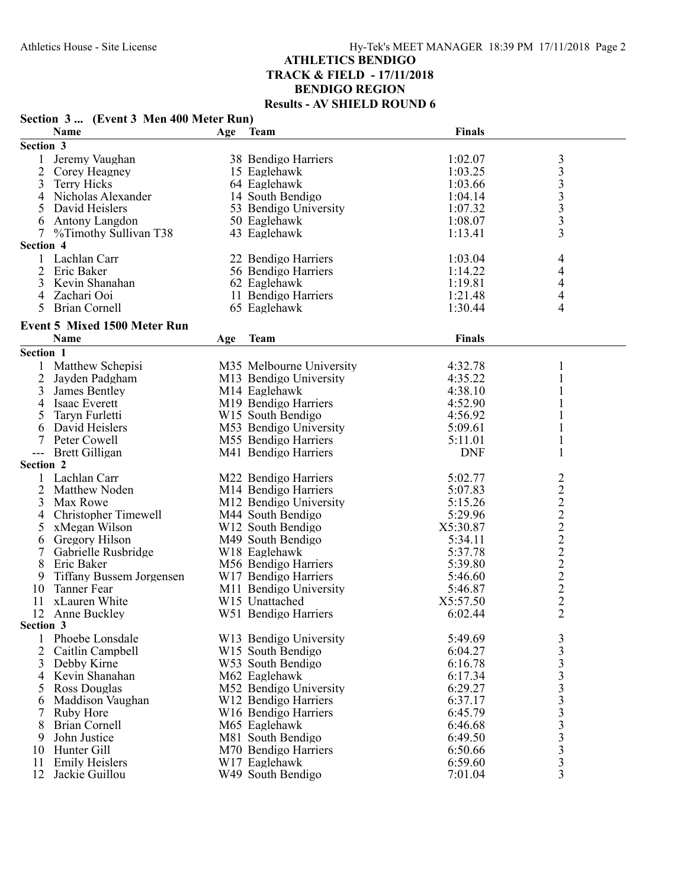| Section 3  (Event 3 Men 400 Meter Run) |                                     |     |                               |               |                                                 |
|----------------------------------------|-------------------------------------|-----|-------------------------------|---------------|-------------------------------------------------|
|                                        | Name                                |     | Age Team                      | Finals        |                                                 |
| Section 3                              |                                     |     |                               |               |                                                 |
| 1                                      | Jeremy Vaughan                      |     | 38 Bendigo Harriers           | 1:02.07       | $\mathfrak{Z}$                                  |
| 2                                      | Corey Heagney                       |     | 15 Eaglehawk                  | 1:03.25       |                                                 |
| 3                                      | <b>Terry Hicks</b>                  |     | 64 Eaglehawk                  | 1:03.66       |                                                 |
| $\overline{4}$                         | Nicholas Alexander                  |     | 14 South Bendigo              | 1:04.14       |                                                 |
| 5                                      | David Heislers                      |     | 53 Bendigo University         | 1:07.32       | $\begin{array}{c} 3 \\ 3 \\ 3 \\ 3 \end{array}$ |
| 6                                      | Antony Langdon                      |     | 50 Eaglehawk                  | 1:08.07       | $\overline{\mathbf{3}}$                         |
| $\tau$                                 | %Timothy Sullivan T38               |     | 43 Eaglehawk                  | 1:13.41       | 3                                               |
| Section 4                              |                                     |     |                               |               |                                                 |
|                                        | 1 Lachlan Carr                      |     | 22 Bendigo Harriers           | 1:03.04       | 4                                               |
| 2                                      | Eric Baker                          |     | 56 Bendigo Harriers           | 1:14.22       | 4                                               |
| 3                                      | Kevin Shanahan                      |     | 62 Eaglehawk                  | 1:19.81       | 4                                               |
| 4                                      | Zachari Ooi                         |     | 11 Bendigo Harriers           | 1:21.48       | 4                                               |
| 5                                      | <b>Brian Cornell</b>                |     | 65 Eaglehawk                  | 1:30.44       | 4                                               |
|                                        | <b>Event 5 Mixed 1500 Meter Run</b> |     |                               |               |                                                 |
|                                        | Name                                | Age | <b>Team</b>                   | <b>Finals</b> |                                                 |
| Section 1                              |                                     |     |                               |               |                                                 |
| 1                                      | Matthew Schepisi                    |     | M35 Melbourne University      | 4:32.78       | 1                                               |
| 2                                      | Jayden Padgham                      |     | M13 Bendigo University        | 4:35.22       | 1                                               |
| 3                                      | James Bentley                       |     | M14 Eaglehawk                 | 4:38.10       | 1                                               |
| 4                                      | Isaac Everett                       |     | M19 Bendigo Harriers          | 4:52.90       | $\mathbf{1}$                                    |
| 5                                      | Taryn Furletti                      |     | W <sub>15</sub> South Bendigo | 4:56.92       | 1                                               |
| 6                                      | David Heislers                      |     | M53 Bendigo University        | 5:09.61       | 1                                               |
| 7                                      | Peter Cowell                        |     | M55 Bendigo Harriers          | 5:11.01       | 1                                               |
| $---$                                  | <b>Brett Gilligan</b>               |     | M41 Bendigo Harriers          | <b>DNF</b>    | 1                                               |
| Section 2                              |                                     |     |                               |               |                                                 |
|                                        | Lachlan Carr                        |     | M22 Bendigo Harriers          | 5:02.77       |                                                 |
| 2                                      | Matthew Noden                       |     | M14 Bendigo Harriers          | 5:07.83       |                                                 |
| 3                                      | Max Rowe                            |     | M12 Bendigo University        | 5:15.26       |                                                 |
| 4                                      | <b>Christopher Timewell</b>         |     | M44 South Bendigo             | 5:29.96       |                                                 |
| 5                                      | xMegan Wilson                       |     | W <sub>12</sub> South Bendigo | X5:30.87      |                                                 |
| 6                                      | Gregory Hilson                      |     | M49 South Bendigo             | 5:34.11       |                                                 |
| 7                                      | Gabrielle Rusbridge                 |     | W18 Eaglehawk                 | 5:37.78       |                                                 |
| 8                                      | Eric Baker                          |     | M56 Bendigo Harriers          | 5:39.80       |                                                 |
| 9                                      | <b>Tiffany Bussem Jorgensen</b>     |     | W17 Bendigo Harriers          | 5:46.60       |                                                 |
| 10                                     | <b>Tanner Fear</b>                  |     | M11 Bendigo University        | 5:46.87       |                                                 |
| 11                                     | xLauren White                       |     | W15 Unattached                | X5:57.50      | 2222222222                                      |
| 12                                     | Anne Buckley                        |     | W51 Bendigo Harriers          | 6:02.44       | $\overline{2}$                                  |
| Section 3                              |                                     |     |                               |               |                                                 |
|                                        | Phoebe Lonsdale                     |     | W13 Bendigo University        | 5:49.69       | $\mathfrak{Z}$                                  |
| 2                                      | Caitlin Campbell                    |     | W <sub>15</sub> South Bendigo | 6:04.27       | 3                                               |
| 3                                      | Debby Kirne                         |     | W53 South Bendigo             | 6:16.78       |                                                 |
| 4                                      | Kevin Shanahan                      |     | M62 Eaglehawk                 | 6:17.34       |                                                 |
| 5                                      | Ross Douglas                        |     | M52 Bendigo University        | 6:29.27       |                                                 |
| 6                                      | Maddison Vaughan                    |     | W12 Bendigo Harriers          | 6:37.17       | 3333333333                                      |
| 7                                      | Ruby Hore                           |     | W16 Bendigo Harriers          | 6:45.79       |                                                 |
| 8                                      | <b>Brian Cornell</b>                |     | M65 Eaglehawk                 | 6:46.68       |                                                 |
| 9                                      | John Justice                        |     | M81 South Bendigo             | 6:49.50       |                                                 |
| 10                                     | Hunter Gill                         |     | M70 Bendigo Harriers          | 6:50.66       |                                                 |
| 11                                     | <b>Emily Heislers</b>               |     | W17 Eaglehawk                 | 6:59.60       |                                                 |
| 12                                     | Jackie Guillou                      |     | W49 South Bendigo             | 7:01.04       | 3                                               |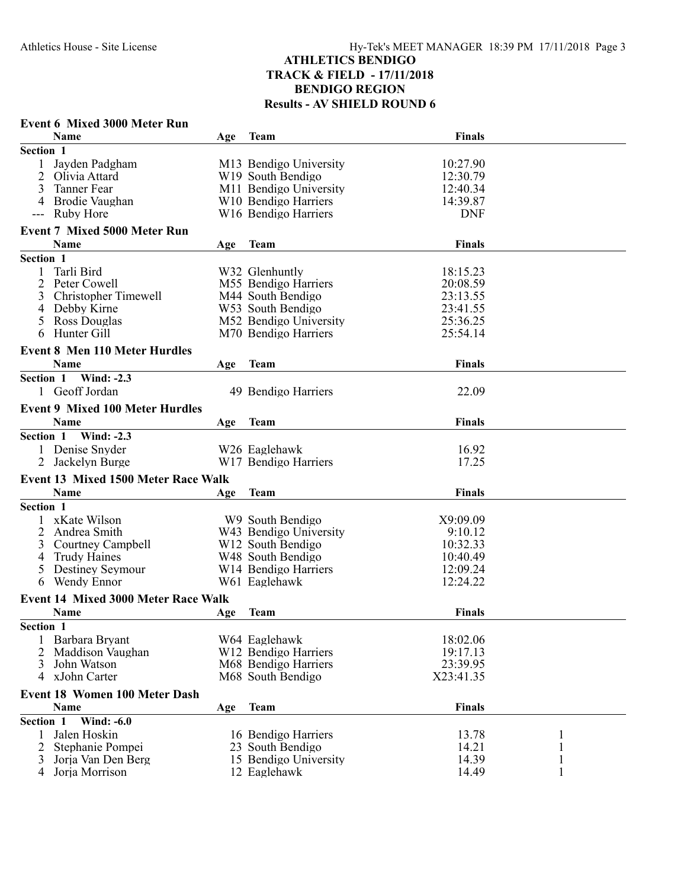### **Event 6 Mixed 3000 Meter Run Name Age Team Age Team Finals Section 1** 1 Jayden Padgham 10:27.90<br>
2 Olivia Attard 10:27.90<br>
2 Olivia Attard 12:30.79 2 Olivia Attard 12:30.79<br>2 Tanner Fear 12:40.34<br>2 M11 Bendigo University 12:40.34 M11 Bendigo University 4 Brodie Vaughan W10 Bendigo Harriers 14:39.87 --- Ruby Hore W16 Bendigo Harriers DNF **Event 7 Mixed 5000 Meter Run Name Age Team Finals Section 1** 1 Tarli Bird W32 Glenhuntly 18:15.23<br>
2 Peter Cowell M55 Bendigo Harriers 20:08.59 M55 Bendigo Harriers<br>M44 South Bendigo 3 Christopher Timewell M44 South Bendigo 23:13.55<br>4 Debby Kirne W53 South Bendigo 23:41.55 4 Debby Kirne W53 South Bendigo 23:41.55<br>5 Ross Douglas M52 Bendigo University 25:36.25 5 Ross Douglas 152 Bendigo University 25:36.25<br>6 Hunter Gill 155:54.14 M70 Bendigo Harriers **Event 8 Men 110 Meter Hurdles Name Age Team Age Team Finals Section 1 Wind: -2.3** 1 Geoff Jordan 49 Bendigo Harriers 22.09 **Event 9 Mixed 100 Meter Hurdles Name Age Team Finals Section 1 Wind: -2.3** 1 Denise Snyder W26 Eaglehawk 16.92 W17 Bendigo Harriers **Event 13 Mixed 1500 Meter Race Walk Name Age Team Age Team Finals Section 1** 1 xKate Wilson W9 South Bendigo X9:09.09<br>2 Andrea Smith W43 Bendigo University 9:10.12 W43 Bendigo University<br>W12 South Bendigo 3 Courtney Campbell W12 South Bendigo 10:32.33<br>4 Trudy Haines W48 South Bendigo 10:40.49 4 Trudy Haines W48 South Bendigo 10:40.49<br>5 Destiney Seymour W14 Bendigo Harriers 12:09.24 5 Destiney Seymour<br>
6 Wendy Ennor<br>
W61 Eaglehawk W61 Eaglehawk 12:24.22 **Event 14 Mixed 3000 Meter Race Walk Name Age Team Age Team Finals Section 1** 1 Barbara Bryant W64 Eaglehawk 18:02.06 2 Maddison Vaughan W12 Bendigo Harriers 19:17.13<br>3 John Watson M68 Bendigo Harriers 23:39.95 M68 Bendigo Harriers 4 xJohn Carter M68 South Bendigo X23:41.35 **Event 18 Women 100 Meter Dash Name Age Team Age Team Finals Section 1 Wind: -6.0** 1 Jalen Hoskin 16 Bendigo Harriers 13.78 1<br>2 Stephanie Pompei 23 South Bendigo 14.21 1 2 Stephanie Pompei 23 South Bendigo 14.21 1<br>
3 Jorja Van Den Berg 15 Bendigo University 14.39 1 15 Bendigo University 14.39 1<br>12 Eaglehawk 14.49 1 4 Jorja Morrison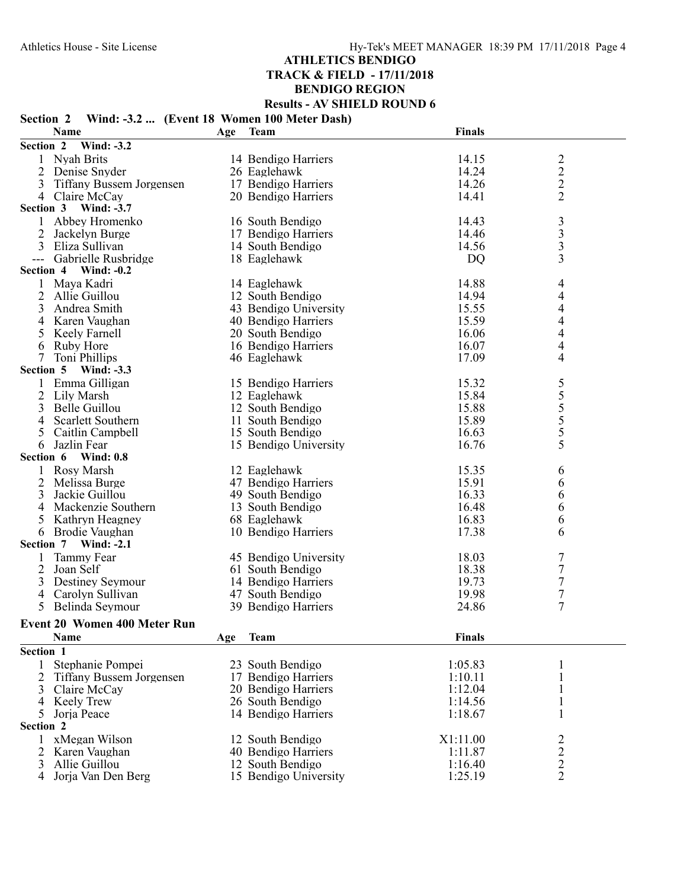## **Section 2 Wind: -3.2 ... (Event 18 Women 100 Meter Dash)**

|                                             | Name                                | Age | <b>Team</b>           | <b>Finals</b> |                                            |  |
|---------------------------------------------|-------------------------------------|-----|-----------------------|---------------|--------------------------------------------|--|
| Section 2                                   | Wind: -3.2                          |     |                       |               |                                            |  |
| 1                                           | Nyah Brits                          |     | 14 Bendigo Harriers   | 14.15         |                                            |  |
| 2                                           | Denise Snyder                       |     | 26 Eaglehawk          | 14.24         | $\frac{2}{2}$                              |  |
| $\overline{3}$                              | <b>Tiffany Bussem Jorgensen</b>     |     | 17 Bendigo Harriers   | 14.26         | $\overline{c}$                             |  |
| 4                                           | Claire McCay                        |     | 20 Bendigo Harriers   | 14.41         | $\overline{2}$                             |  |
| Section 3                                   | <b>Wind: -3.7</b>                   |     |                       |               |                                            |  |
| 1                                           | Abbey Hromenko                      |     | 16 South Bendigo      | 14.43         |                                            |  |
| 2                                           | Jackelyn Burge                      |     | 17 Bendigo Harriers   | 14.46         |                                            |  |
| 3                                           | Eliza Sullivan                      |     | 14 South Bendigo      | 14.56         | $\begin{array}{c} 3 \\ 3 \\ 3 \end{array}$ |  |
| $\scriptstyle \cdots$ $\scriptstyle \cdots$ | Gabrielle Rusbridge                 |     | 18 Eaglehawk          | DQ            | 3                                          |  |
| Section 4                                   | Wind: $-0.2$                        |     |                       |               |                                            |  |
| 1                                           | Maya Kadri                          |     | 14 Eaglehawk          | 14.88         | 4                                          |  |
| 2                                           | Allie Guillou                       |     | 12 South Bendigo      | 14.94         | 4                                          |  |
| 3                                           | Andrea Smith                        |     | 43 Bendigo University | 15.55         | 4                                          |  |
| 4                                           | Karen Vaughan                       |     | 40 Bendigo Harriers   | 15.59         | 4                                          |  |
| 5                                           | Keely Farnell                       |     | 20 South Bendigo      | 16.06         | $\overline{4}$                             |  |
| 6                                           | Ruby Hore                           |     | 16 Bendigo Harriers   | 16.07         | 4                                          |  |
| 7                                           | Toni Phillips                       |     | 46 Eaglehawk          | 17.09         | 4                                          |  |
| Section 5                                   | <b>Wind: -3.3</b>                   |     |                       |               |                                            |  |
| 1                                           | Emma Gilligan                       |     | 15 Bendigo Harriers   | 15.32         |                                            |  |
| 2                                           | Lily Marsh                          |     | 12 Eaglehawk          | 15.84         | $\frac{5}{5}$<br>$\frac{5}{5}$             |  |
| 3                                           | Belle Guillou                       |     | 12 South Bendigo      | 15.88         |                                            |  |
| 4                                           | Scarlett Southern                   |     | 11 South Bendigo      | 15.89         |                                            |  |
| 5                                           | Caitlin Campbell                    |     | 15 South Bendigo      | 16.63         | 5                                          |  |
| 6                                           | Jazlin Fear                         |     | 15 Bendigo University | 16.76         | 5                                          |  |
| Section 6                                   | <b>Wind: 0.8</b>                    |     |                       |               |                                            |  |
|                                             | Rosy Marsh                          |     | 12 Eaglehawk          | 15.35         | 6                                          |  |
| 2                                           | Melissa Burge                       |     | 47 Bendigo Harriers   | 15.91         | 6                                          |  |
| 3                                           | Jackie Guillou                      |     | 49 South Bendigo      | 16.33         | 6                                          |  |
| 4                                           | Mackenzie Southern                  |     | 13 South Bendigo      | 16.48         | 6                                          |  |
| 5                                           | Kathryn Heagney                     |     | 68 Eaglehawk          | 16.83         | 6                                          |  |
| 6                                           | Brodie Vaughan                      |     | 10 Bendigo Harriers   | 17.38         | 6                                          |  |
| Section 7                                   | <b>Wind: -2.1</b>                   |     |                       |               |                                            |  |
|                                             | Tammy Fear                          |     | 45 Bendigo University | 18.03         | 7                                          |  |
| 2                                           | Joan Self                           |     | 61 South Bendigo      | 18.38         | 7                                          |  |
| 3                                           | Destiney Seymour                    |     | 14 Bendigo Harriers   | 19.73         | $\tau$                                     |  |
| 4                                           | Carolyn Sullivan                    |     | 47 South Bendigo      | 19.98         | 7                                          |  |
| 5                                           | Belinda Seymour                     |     | 39 Bendigo Harriers   | 24.86         | $\tau$                                     |  |
|                                             |                                     |     |                       |               |                                            |  |
|                                             | <b>Event 20 Women 400 Meter Run</b> |     |                       |               |                                            |  |
|                                             | Name                                | Age | <b>Team</b>           | <b>Finals</b> |                                            |  |
| Section 1                                   |                                     |     |                       |               |                                            |  |
| 1                                           | Stephanie Pompei                    |     | 23 South Bendigo      | 1:05.83       | 1                                          |  |
|                                             | <b>Tiffany Bussem Jorgensen</b>     |     | 17 Bendigo Harriers   | 1:10.11       | $\mathbf{1}$                               |  |
| 3                                           | Claire McCay                        |     | 20 Bendigo Harriers   | 1:12.04       | 1                                          |  |
| 4                                           | Keely Trew                          |     | 26 South Bendigo      | 1:14.56       | $\mathbf{1}$                               |  |
| 5                                           | Jorja Peace                         |     | 14 Bendigo Harriers   | 1:18.67       | 1                                          |  |
| Section 2                                   |                                     |     |                       |               |                                            |  |
| 1                                           | xMegan Wilson                       |     | 12 South Bendigo      | X1:11.00      |                                            |  |
| 2                                           | Karen Vaughan                       |     | 40 Bendigo Harriers   | 1:11.87       |                                            |  |
| 3                                           | Allie Guillou                       |     | 12 South Bendigo      | 1:16.40       | $\frac{2}{2}$                              |  |
| 4                                           | Jorja Van Den Berg                  |     | 15 Bendigo University | 1:25.19       | $\overline{2}$                             |  |
|                                             |                                     |     |                       |               |                                            |  |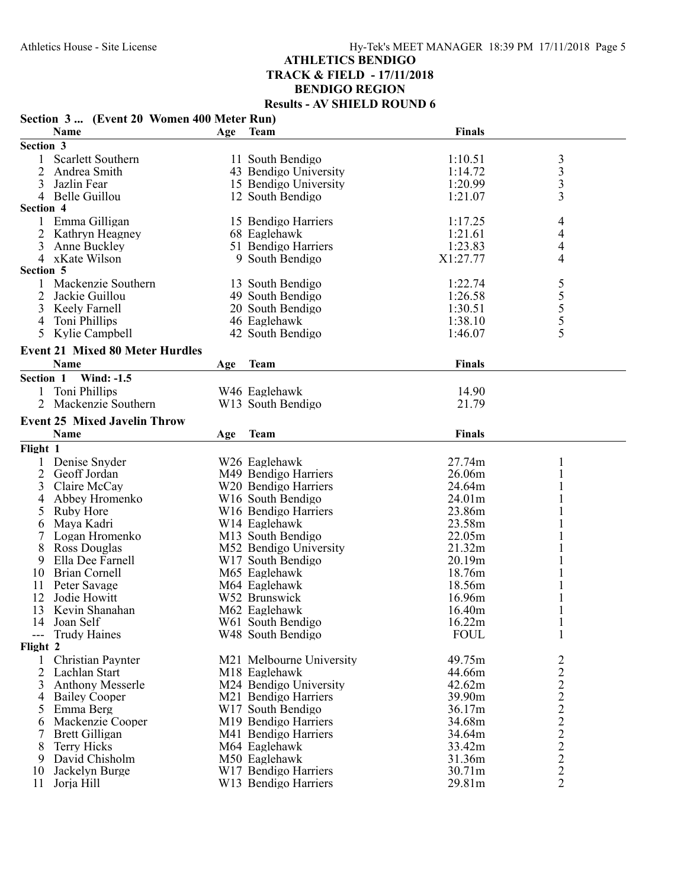| Finals<br>Name<br><b>Team</b><br>Age<br>Section 3<br>$\begin{array}{c} 3 \\ 3 \\ 3 \\ 3 \end{array}$<br>Scarlett Southern<br>1:10.51<br>1<br>11 South Bendigo<br>2<br>Andrea Smith<br>43 Bendigo University<br>1:14.72<br>3<br>Jazlin Fear<br>15 Bendigo University<br>1:20.99<br>Belle Guillou<br>12 South Bendigo<br>1:21.07<br>4<br>Section 4<br>Emma Gilligan<br>15 Bendigo Harriers<br>4<br>1:17.25<br>4<br>1:21.61<br>Kathryn Heagney<br>68 Eaglehawk<br>3<br>1:23.83<br>4<br>51 Bendigo Harriers<br>Anne Buckley<br>4<br>4 xKate Wilson<br>9 South Bendigo<br>X1:27.77<br>Section 5<br>55555<br>Mackenzie Southern<br>13 South Bendigo<br>1:22.74<br>Jackie Guillou<br>1:26.58<br>2<br>49 South Bendigo<br>3<br>Keely Farnell<br>20 South Bendigo<br>1:30.51<br>1:38.10<br>46 Eaglehawk<br>Toni Phillips<br>4<br>Kylie Campbell<br>5<br>42 South Bendigo<br>1:46.07<br><b>Event 21 Mixed 80 Meter Hurdles</b><br>Name<br><b>Team</b><br><b>Finals</b><br>Age<br>Section 1<br><b>Wind: -1.5</b><br>Toni Phillips<br>W46 Eaglehawk<br>14.90<br>Mackenzie Southern<br>21.79<br>W13 South Bendigo<br><b>Event 25 Mixed Javelin Throw</b><br>Name<br>Finals<br><b>Team</b><br>Age<br>Flight 1<br>Denise Snyder<br>W26 Eaglehawk<br>27.74m<br>$\mathbf{1}$<br>1<br>$\overline{2}$<br>Geoff Jordan<br>M49 Bendigo Harriers<br>26.06m<br>$\mathbf{1}$<br>W20 Bendigo Harriers<br>3<br>Claire McCay<br>24.64m<br>1<br>Abbey Hromenko<br>24.01m<br>W <sub>16</sub> South Bendigo<br>1<br>4<br>W16 Bendigo Harriers<br>23.86m<br>Ruby Hore<br>5<br>Maya Kadri<br>W14 Eaglehawk<br>23.58m<br>6<br>Logan Hromenko<br>M13 South Bendigo<br>22.05m<br>8<br>Ross Douglas<br>M52 Bendigo University<br>21.32m<br>Ella Dee Farnell<br>W <sub>17</sub> South Bendigo<br>20.19m<br>9<br><b>Brian Cornell</b><br>10<br>M65 Eaglehawk<br>18.76m<br>11<br>Peter Savage<br>18.56m<br>M64 Eaglehawk<br>1<br>12<br>Jodie Howitt<br>W52 Brunswick<br>16.96m<br>13<br>Kevin Shanahan<br>M62 Eaglehawk<br>16.40m<br>1<br>Joan Self<br>W61 South Bendigo<br>16.22m<br>14<br>1<br><b>FOUL</b><br>1<br><b>Trudy Haines</b><br>W48 South Bendigo<br>---<br>Flight 2<br>M21 Melbourne University<br>$\overline{\mathbf{c}}$<br>Christian Paynter<br>49.75m<br>222222222<br>2<br>Lachlan Start<br>M18 Eaglehawk<br>44.66m<br>3<br><b>Anthony Messerle</b><br>M24 Bendigo University<br>42.62m<br>M21 Bendigo Harriers<br>39.90m<br><b>Bailey Cooper</b><br>4<br>Emma Berg<br>W17 South Bendigo<br>36.17m<br>5<br>Mackenzie Cooper<br>M19 Bendigo Harriers<br>34.68m<br>6<br>Brett Gilligan<br>M41 Bendigo Harriers<br>34.64m<br>7<br><b>Terry Hicks</b><br>8<br>M64 Eaglehawk<br>33.42m<br>David Chisholm<br>M50 Eaglehawk<br>31.36m<br>9<br>Jackelyn Burge<br>W17 Bendigo Harriers<br>30.71m<br>10<br>W13 Bendigo Harriers | Section 3 (Event 20 Women 400 Meter Run) |            |  |  |        |                |
|-------------------------------------------------------------------------------------------------------------------------------------------------------------------------------------------------------------------------------------------------------------------------------------------------------------------------------------------------------------------------------------------------------------------------------------------------------------------------------------------------------------------------------------------------------------------------------------------------------------------------------------------------------------------------------------------------------------------------------------------------------------------------------------------------------------------------------------------------------------------------------------------------------------------------------------------------------------------------------------------------------------------------------------------------------------------------------------------------------------------------------------------------------------------------------------------------------------------------------------------------------------------------------------------------------------------------------------------------------------------------------------------------------------------------------------------------------------------------------------------------------------------------------------------------------------------------------------------------------------------------------------------------------------------------------------------------------------------------------------------------------------------------------------------------------------------------------------------------------------------------------------------------------------------------------------------------------------------------------------------------------------------------------------------------------------------------------------------------------------------------------------------------------------------------------------------------------------------------------------------------------------------------------------------------------------------------------------------------------------------------------------------------------------------------------------------------------------------------------------------------------------------------------------------------------------------------------------------------------------------------------------------------------------------------------------------------------------------------------------------------------------------------------------------------|------------------------------------------|------------|--|--|--------|----------------|
|                                                                                                                                                                                                                                                                                                                                                                                                                                                                                                                                                                                                                                                                                                                                                                                                                                                                                                                                                                                                                                                                                                                                                                                                                                                                                                                                                                                                                                                                                                                                                                                                                                                                                                                                                                                                                                                                                                                                                                                                                                                                                                                                                                                                                                                                                                                                                                                                                                                                                                                                                                                                                                                                                                                                                                                                 |                                          |            |  |  |        |                |
|                                                                                                                                                                                                                                                                                                                                                                                                                                                                                                                                                                                                                                                                                                                                                                                                                                                                                                                                                                                                                                                                                                                                                                                                                                                                                                                                                                                                                                                                                                                                                                                                                                                                                                                                                                                                                                                                                                                                                                                                                                                                                                                                                                                                                                                                                                                                                                                                                                                                                                                                                                                                                                                                                                                                                                                                 |                                          |            |  |  |        |                |
|                                                                                                                                                                                                                                                                                                                                                                                                                                                                                                                                                                                                                                                                                                                                                                                                                                                                                                                                                                                                                                                                                                                                                                                                                                                                                                                                                                                                                                                                                                                                                                                                                                                                                                                                                                                                                                                                                                                                                                                                                                                                                                                                                                                                                                                                                                                                                                                                                                                                                                                                                                                                                                                                                                                                                                                                 |                                          |            |  |  |        |                |
|                                                                                                                                                                                                                                                                                                                                                                                                                                                                                                                                                                                                                                                                                                                                                                                                                                                                                                                                                                                                                                                                                                                                                                                                                                                                                                                                                                                                                                                                                                                                                                                                                                                                                                                                                                                                                                                                                                                                                                                                                                                                                                                                                                                                                                                                                                                                                                                                                                                                                                                                                                                                                                                                                                                                                                                                 |                                          |            |  |  |        |                |
|                                                                                                                                                                                                                                                                                                                                                                                                                                                                                                                                                                                                                                                                                                                                                                                                                                                                                                                                                                                                                                                                                                                                                                                                                                                                                                                                                                                                                                                                                                                                                                                                                                                                                                                                                                                                                                                                                                                                                                                                                                                                                                                                                                                                                                                                                                                                                                                                                                                                                                                                                                                                                                                                                                                                                                                                 |                                          |            |  |  |        |                |
|                                                                                                                                                                                                                                                                                                                                                                                                                                                                                                                                                                                                                                                                                                                                                                                                                                                                                                                                                                                                                                                                                                                                                                                                                                                                                                                                                                                                                                                                                                                                                                                                                                                                                                                                                                                                                                                                                                                                                                                                                                                                                                                                                                                                                                                                                                                                                                                                                                                                                                                                                                                                                                                                                                                                                                                                 |                                          |            |  |  |        |                |
|                                                                                                                                                                                                                                                                                                                                                                                                                                                                                                                                                                                                                                                                                                                                                                                                                                                                                                                                                                                                                                                                                                                                                                                                                                                                                                                                                                                                                                                                                                                                                                                                                                                                                                                                                                                                                                                                                                                                                                                                                                                                                                                                                                                                                                                                                                                                                                                                                                                                                                                                                                                                                                                                                                                                                                                                 |                                          |            |  |  |        |                |
|                                                                                                                                                                                                                                                                                                                                                                                                                                                                                                                                                                                                                                                                                                                                                                                                                                                                                                                                                                                                                                                                                                                                                                                                                                                                                                                                                                                                                                                                                                                                                                                                                                                                                                                                                                                                                                                                                                                                                                                                                                                                                                                                                                                                                                                                                                                                                                                                                                                                                                                                                                                                                                                                                                                                                                                                 |                                          |            |  |  |        |                |
|                                                                                                                                                                                                                                                                                                                                                                                                                                                                                                                                                                                                                                                                                                                                                                                                                                                                                                                                                                                                                                                                                                                                                                                                                                                                                                                                                                                                                                                                                                                                                                                                                                                                                                                                                                                                                                                                                                                                                                                                                                                                                                                                                                                                                                                                                                                                                                                                                                                                                                                                                                                                                                                                                                                                                                                                 |                                          |            |  |  |        |                |
|                                                                                                                                                                                                                                                                                                                                                                                                                                                                                                                                                                                                                                                                                                                                                                                                                                                                                                                                                                                                                                                                                                                                                                                                                                                                                                                                                                                                                                                                                                                                                                                                                                                                                                                                                                                                                                                                                                                                                                                                                                                                                                                                                                                                                                                                                                                                                                                                                                                                                                                                                                                                                                                                                                                                                                                                 |                                          |            |  |  |        |                |
|                                                                                                                                                                                                                                                                                                                                                                                                                                                                                                                                                                                                                                                                                                                                                                                                                                                                                                                                                                                                                                                                                                                                                                                                                                                                                                                                                                                                                                                                                                                                                                                                                                                                                                                                                                                                                                                                                                                                                                                                                                                                                                                                                                                                                                                                                                                                                                                                                                                                                                                                                                                                                                                                                                                                                                                                 |                                          |            |  |  |        |                |
|                                                                                                                                                                                                                                                                                                                                                                                                                                                                                                                                                                                                                                                                                                                                                                                                                                                                                                                                                                                                                                                                                                                                                                                                                                                                                                                                                                                                                                                                                                                                                                                                                                                                                                                                                                                                                                                                                                                                                                                                                                                                                                                                                                                                                                                                                                                                                                                                                                                                                                                                                                                                                                                                                                                                                                                                 |                                          |            |  |  |        |                |
|                                                                                                                                                                                                                                                                                                                                                                                                                                                                                                                                                                                                                                                                                                                                                                                                                                                                                                                                                                                                                                                                                                                                                                                                                                                                                                                                                                                                                                                                                                                                                                                                                                                                                                                                                                                                                                                                                                                                                                                                                                                                                                                                                                                                                                                                                                                                                                                                                                                                                                                                                                                                                                                                                                                                                                                                 |                                          |            |  |  |        |                |
|                                                                                                                                                                                                                                                                                                                                                                                                                                                                                                                                                                                                                                                                                                                                                                                                                                                                                                                                                                                                                                                                                                                                                                                                                                                                                                                                                                                                                                                                                                                                                                                                                                                                                                                                                                                                                                                                                                                                                                                                                                                                                                                                                                                                                                                                                                                                                                                                                                                                                                                                                                                                                                                                                                                                                                                                 |                                          |            |  |  |        |                |
|                                                                                                                                                                                                                                                                                                                                                                                                                                                                                                                                                                                                                                                                                                                                                                                                                                                                                                                                                                                                                                                                                                                                                                                                                                                                                                                                                                                                                                                                                                                                                                                                                                                                                                                                                                                                                                                                                                                                                                                                                                                                                                                                                                                                                                                                                                                                                                                                                                                                                                                                                                                                                                                                                                                                                                                                 |                                          |            |  |  |        |                |
|                                                                                                                                                                                                                                                                                                                                                                                                                                                                                                                                                                                                                                                                                                                                                                                                                                                                                                                                                                                                                                                                                                                                                                                                                                                                                                                                                                                                                                                                                                                                                                                                                                                                                                                                                                                                                                                                                                                                                                                                                                                                                                                                                                                                                                                                                                                                                                                                                                                                                                                                                                                                                                                                                                                                                                                                 |                                          |            |  |  |        |                |
|                                                                                                                                                                                                                                                                                                                                                                                                                                                                                                                                                                                                                                                                                                                                                                                                                                                                                                                                                                                                                                                                                                                                                                                                                                                                                                                                                                                                                                                                                                                                                                                                                                                                                                                                                                                                                                                                                                                                                                                                                                                                                                                                                                                                                                                                                                                                                                                                                                                                                                                                                                                                                                                                                                                                                                                                 |                                          |            |  |  |        |                |
|                                                                                                                                                                                                                                                                                                                                                                                                                                                                                                                                                                                                                                                                                                                                                                                                                                                                                                                                                                                                                                                                                                                                                                                                                                                                                                                                                                                                                                                                                                                                                                                                                                                                                                                                                                                                                                                                                                                                                                                                                                                                                                                                                                                                                                                                                                                                                                                                                                                                                                                                                                                                                                                                                                                                                                                                 |                                          |            |  |  |        |                |
|                                                                                                                                                                                                                                                                                                                                                                                                                                                                                                                                                                                                                                                                                                                                                                                                                                                                                                                                                                                                                                                                                                                                                                                                                                                                                                                                                                                                                                                                                                                                                                                                                                                                                                                                                                                                                                                                                                                                                                                                                                                                                                                                                                                                                                                                                                                                                                                                                                                                                                                                                                                                                                                                                                                                                                                                 |                                          |            |  |  |        |                |
|                                                                                                                                                                                                                                                                                                                                                                                                                                                                                                                                                                                                                                                                                                                                                                                                                                                                                                                                                                                                                                                                                                                                                                                                                                                                                                                                                                                                                                                                                                                                                                                                                                                                                                                                                                                                                                                                                                                                                                                                                                                                                                                                                                                                                                                                                                                                                                                                                                                                                                                                                                                                                                                                                                                                                                                                 |                                          |            |  |  |        |                |
|                                                                                                                                                                                                                                                                                                                                                                                                                                                                                                                                                                                                                                                                                                                                                                                                                                                                                                                                                                                                                                                                                                                                                                                                                                                                                                                                                                                                                                                                                                                                                                                                                                                                                                                                                                                                                                                                                                                                                                                                                                                                                                                                                                                                                                                                                                                                                                                                                                                                                                                                                                                                                                                                                                                                                                                                 |                                          |            |  |  |        |                |
|                                                                                                                                                                                                                                                                                                                                                                                                                                                                                                                                                                                                                                                                                                                                                                                                                                                                                                                                                                                                                                                                                                                                                                                                                                                                                                                                                                                                                                                                                                                                                                                                                                                                                                                                                                                                                                                                                                                                                                                                                                                                                                                                                                                                                                                                                                                                                                                                                                                                                                                                                                                                                                                                                                                                                                                                 |                                          |            |  |  |        |                |
|                                                                                                                                                                                                                                                                                                                                                                                                                                                                                                                                                                                                                                                                                                                                                                                                                                                                                                                                                                                                                                                                                                                                                                                                                                                                                                                                                                                                                                                                                                                                                                                                                                                                                                                                                                                                                                                                                                                                                                                                                                                                                                                                                                                                                                                                                                                                                                                                                                                                                                                                                                                                                                                                                                                                                                                                 |                                          |            |  |  |        |                |
|                                                                                                                                                                                                                                                                                                                                                                                                                                                                                                                                                                                                                                                                                                                                                                                                                                                                                                                                                                                                                                                                                                                                                                                                                                                                                                                                                                                                                                                                                                                                                                                                                                                                                                                                                                                                                                                                                                                                                                                                                                                                                                                                                                                                                                                                                                                                                                                                                                                                                                                                                                                                                                                                                                                                                                                                 |                                          |            |  |  |        |                |
|                                                                                                                                                                                                                                                                                                                                                                                                                                                                                                                                                                                                                                                                                                                                                                                                                                                                                                                                                                                                                                                                                                                                                                                                                                                                                                                                                                                                                                                                                                                                                                                                                                                                                                                                                                                                                                                                                                                                                                                                                                                                                                                                                                                                                                                                                                                                                                                                                                                                                                                                                                                                                                                                                                                                                                                                 |                                          |            |  |  |        |                |
|                                                                                                                                                                                                                                                                                                                                                                                                                                                                                                                                                                                                                                                                                                                                                                                                                                                                                                                                                                                                                                                                                                                                                                                                                                                                                                                                                                                                                                                                                                                                                                                                                                                                                                                                                                                                                                                                                                                                                                                                                                                                                                                                                                                                                                                                                                                                                                                                                                                                                                                                                                                                                                                                                                                                                                                                 |                                          |            |  |  |        |                |
|                                                                                                                                                                                                                                                                                                                                                                                                                                                                                                                                                                                                                                                                                                                                                                                                                                                                                                                                                                                                                                                                                                                                                                                                                                                                                                                                                                                                                                                                                                                                                                                                                                                                                                                                                                                                                                                                                                                                                                                                                                                                                                                                                                                                                                                                                                                                                                                                                                                                                                                                                                                                                                                                                                                                                                                                 |                                          |            |  |  |        |                |
|                                                                                                                                                                                                                                                                                                                                                                                                                                                                                                                                                                                                                                                                                                                                                                                                                                                                                                                                                                                                                                                                                                                                                                                                                                                                                                                                                                                                                                                                                                                                                                                                                                                                                                                                                                                                                                                                                                                                                                                                                                                                                                                                                                                                                                                                                                                                                                                                                                                                                                                                                                                                                                                                                                                                                                                                 |                                          |            |  |  |        |                |
|                                                                                                                                                                                                                                                                                                                                                                                                                                                                                                                                                                                                                                                                                                                                                                                                                                                                                                                                                                                                                                                                                                                                                                                                                                                                                                                                                                                                                                                                                                                                                                                                                                                                                                                                                                                                                                                                                                                                                                                                                                                                                                                                                                                                                                                                                                                                                                                                                                                                                                                                                                                                                                                                                                                                                                                                 |                                          |            |  |  |        |                |
|                                                                                                                                                                                                                                                                                                                                                                                                                                                                                                                                                                                                                                                                                                                                                                                                                                                                                                                                                                                                                                                                                                                                                                                                                                                                                                                                                                                                                                                                                                                                                                                                                                                                                                                                                                                                                                                                                                                                                                                                                                                                                                                                                                                                                                                                                                                                                                                                                                                                                                                                                                                                                                                                                                                                                                                                 |                                          |            |  |  |        |                |
|                                                                                                                                                                                                                                                                                                                                                                                                                                                                                                                                                                                                                                                                                                                                                                                                                                                                                                                                                                                                                                                                                                                                                                                                                                                                                                                                                                                                                                                                                                                                                                                                                                                                                                                                                                                                                                                                                                                                                                                                                                                                                                                                                                                                                                                                                                                                                                                                                                                                                                                                                                                                                                                                                                                                                                                                 |                                          |            |  |  |        |                |
|                                                                                                                                                                                                                                                                                                                                                                                                                                                                                                                                                                                                                                                                                                                                                                                                                                                                                                                                                                                                                                                                                                                                                                                                                                                                                                                                                                                                                                                                                                                                                                                                                                                                                                                                                                                                                                                                                                                                                                                                                                                                                                                                                                                                                                                                                                                                                                                                                                                                                                                                                                                                                                                                                                                                                                                                 |                                          |            |  |  |        |                |
|                                                                                                                                                                                                                                                                                                                                                                                                                                                                                                                                                                                                                                                                                                                                                                                                                                                                                                                                                                                                                                                                                                                                                                                                                                                                                                                                                                                                                                                                                                                                                                                                                                                                                                                                                                                                                                                                                                                                                                                                                                                                                                                                                                                                                                                                                                                                                                                                                                                                                                                                                                                                                                                                                                                                                                                                 |                                          |            |  |  |        |                |
|                                                                                                                                                                                                                                                                                                                                                                                                                                                                                                                                                                                                                                                                                                                                                                                                                                                                                                                                                                                                                                                                                                                                                                                                                                                                                                                                                                                                                                                                                                                                                                                                                                                                                                                                                                                                                                                                                                                                                                                                                                                                                                                                                                                                                                                                                                                                                                                                                                                                                                                                                                                                                                                                                                                                                                                                 |                                          |            |  |  |        |                |
|                                                                                                                                                                                                                                                                                                                                                                                                                                                                                                                                                                                                                                                                                                                                                                                                                                                                                                                                                                                                                                                                                                                                                                                                                                                                                                                                                                                                                                                                                                                                                                                                                                                                                                                                                                                                                                                                                                                                                                                                                                                                                                                                                                                                                                                                                                                                                                                                                                                                                                                                                                                                                                                                                                                                                                                                 |                                          |            |  |  |        |                |
|                                                                                                                                                                                                                                                                                                                                                                                                                                                                                                                                                                                                                                                                                                                                                                                                                                                                                                                                                                                                                                                                                                                                                                                                                                                                                                                                                                                                                                                                                                                                                                                                                                                                                                                                                                                                                                                                                                                                                                                                                                                                                                                                                                                                                                                                                                                                                                                                                                                                                                                                                                                                                                                                                                                                                                                                 |                                          |            |  |  |        |                |
|                                                                                                                                                                                                                                                                                                                                                                                                                                                                                                                                                                                                                                                                                                                                                                                                                                                                                                                                                                                                                                                                                                                                                                                                                                                                                                                                                                                                                                                                                                                                                                                                                                                                                                                                                                                                                                                                                                                                                                                                                                                                                                                                                                                                                                                                                                                                                                                                                                                                                                                                                                                                                                                                                                                                                                                                 |                                          |            |  |  |        |                |
|                                                                                                                                                                                                                                                                                                                                                                                                                                                                                                                                                                                                                                                                                                                                                                                                                                                                                                                                                                                                                                                                                                                                                                                                                                                                                                                                                                                                                                                                                                                                                                                                                                                                                                                                                                                                                                                                                                                                                                                                                                                                                                                                                                                                                                                                                                                                                                                                                                                                                                                                                                                                                                                                                                                                                                                                 |                                          |            |  |  |        |                |
|                                                                                                                                                                                                                                                                                                                                                                                                                                                                                                                                                                                                                                                                                                                                                                                                                                                                                                                                                                                                                                                                                                                                                                                                                                                                                                                                                                                                                                                                                                                                                                                                                                                                                                                                                                                                                                                                                                                                                                                                                                                                                                                                                                                                                                                                                                                                                                                                                                                                                                                                                                                                                                                                                                                                                                                                 |                                          |            |  |  |        |                |
|                                                                                                                                                                                                                                                                                                                                                                                                                                                                                                                                                                                                                                                                                                                                                                                                                                                                                                                                                                                                                                                                                                                                                                                                                                                                                                                                                                                                                                                                                                                                                                                                                                                                                                                                                                                                                                                                                                                                                                                                                                                                                                                                                                                                                                                                                                                                                                                                                                                                                                                                                                                                                                                                                                                                                                                                 |                                          |            |  |  |        |                |
|                                                                                                                                                                                                                                                                                                                                                                                                                                                                                                                                                                                                                                                                                                                                                                                                                                                                                                                                                                                                                                                                                                                                                                                                                                                                                                                                                                                                                                                                                                                                                                                                                                                                                                                                                                                                                                                                                                                                                                                                                                                                                                                                                                                                                                                                                                                                                                                                                                                                                                                                                                                                                                                                                                                                                                                                 |                                          |            |  |  |        |                |
|                                                                                                                                                                                                                                                                                                                                                                                                                                                                                                                                                                                                                                                                                                                                                                                                                                                                                                                                                                                                                                                                                                                                                                                                                                                                                                                                                                                                                                                                                                                                                                                                                                                                                                                                                                                                                                                                                                                                                                                                                                                                                                                                                                                                                                                                                                                                                                                                                                                                                                                                                                                                                                                                                                                                                                                                 |                                          |            |  |  |        |                |
|                                                                                                                                                                                                                                                                                                                                                                                                                                                                                                                                                                                                                                                                                                                                                                                                                                                                                                                                                                                                                                                                                                                                                                                                                                                                                                                                                                                                                                                                                                                                                                                                                                                                                                                                                                                                                                                                                                                                                                                                                                                                                                                                                                                                                                                                                                                                                                                                                                                                                                                                                                                                                                                                                                                                                                                                 |                                          |            |  |  |        |                |
|                                                                                                                                                                                                                                                                                                                                                                                                                                                                                                                                                                                                                                                                                                                                                                                                                                                                                                                                                                                                                                                                                                                                                                                                                                                                                                                                                                                                                                                                                                                                                                                                                                                                                                                                                                                                                                                                                                                                                                                                                                                                                                                                                                                                                                                                                                                                                                                                                                                                                                                                                                                                                                                                                                                                                                                                 |                                          |            |  |  |        |                |
|                                                                                                                                                                                                                                                                                                                                                                                                                                                                                                                                                                                                                                                                                                                                                                                                                                                                                                                                                                                                                                                                                                                                                                                                                                                                                                                                                                                                                                                                                                                                                                                                                                                                                                                                                                                                                                                                                                                                                                                                                                                                                                                                                                                                                                                                                                                                                                                                                                                                                                                                                                                                                                                                                                                                                                                                 |                                          |            |  |  |        |                |
|                                                                                                                                                                                                                                                                                                                                                                                                                                                                                                                                                                                                                                                                                                                                                                                                                                                                                                                                                                                                                                                                                                                                                                                                                                                                                                                                                                                                                                                                                                                                                                                                                                                                                                                                                                                                                                                                                                                                                                                                                                                                                                                                                                                                                                                                                                                                                                                                                                                                                                                                                                                                                                                                                                                                                                                                 |                                          |            |  |  |        |                |
|                                                                                                                                                                                                                                                                                                                                                                                                                                                                                                                                                                                                                                                                                                                                                                                                                                                                                                                                                                                                                                                                                                                                                                                                                                                                                                                                                                                                                                                                                                                                                                                                                                                                                                                                                                                                                                                                                                                                                                                                                                                                                                                                                                                                                                                                                                                                                                                                                                                                                                                                                                                                                                                                                                                                                                                                 |                                          |            |  |  |        |                |
|                                                                                                                                                                                                                                                                                                                                                                                                                                                                                                                                                                                                                                                                                                                                                                                                                                                                                                                                                                                                                                                                                                                                                                                                                                                                                                                                                                                                                                                                                                                                                                                                                                                                                                                                                                                                                                                                                                                                                                                                                                                                                                                                                                                                                                                                                                                                                                                                                                                                                                                                                                                                                                                                                                                                                                                                 |                                          |            |  |  |        |                |
|                                                                                                                                                                                                                                                                                                                                                                                                                                                                                                                                                                                                                                                                                                                                                                                                                                                                                                                                                                                                                                                                                                                                                                                                                                                                                                                                                                                                                                                                                                                                                                                                                                                                                                                                                                                                                                                                                                                                                                                                                                                                                                                                                                                                                                                                                                                                                                                                                                                                                                                                                                                                                                                                                                                                                                                                 |                                          |            |  |  |        |                |
|                                                                                                                                                                                                                                                                                                                                                                                                                                                                                                                                                                                                                                                                                                                                                                                                                                                                                                                                                                                                                                                                                                                                                                                                                                                                                                                                                                                                                                                                                                                                                                                                                                                                                                                                                                                                                                                                                                                                                                                                                                                                                                                                                                                                                                                                                                                                                                                                                                                                                                                                                                                                                                                                                                                                                                                                 |                                          |            |  |  |        |                |
|                                                                                                                                                                                                                                                                                                                                                                                                                                                                                                                                                                                                                                                                                                                                                                                                                                                                                                                                                                                                                                                                                                                                                                                                                                                                                                                                                                                                                                                                                                                                                                                                                                                                                                                                                                                                                                                                                                                                                                                                                                                                                                                                                                                                                                                                                                                                                                                                                                                                                                                                                                                                                                                                                                                                                                                                 |                                          |            |  |  |        |                |
|                                                                                                                                                                                                                                                                                                                                                                                                                                                                                                                                                                                                                                                                                                                                                                                                                                                                                                                                                                                                                                                                                                                                                                                                                                                                                                                                                                                                                                                                                                                                                                                                                                                                                                                                                                                                                                                                                                                                                                                                                                                                                                                                                                                                                                                                                                                                                                                                                                                                                                                                                                                                                                                                                                                                                                                                 |                                          |            |  |  |        |                |
|                                                                                                                                                                                                                                                                                                                                                                                                                                                                                                                                                                                                                                                                                                                                                                                                                                                                                                                                                                                                                                                                                                                                                                                                                                                                                                                                                                                                                                                                                                                                                                                                                                                                                                                                                                                                                                                                                                                                                                                                                                                                                                                                                                                                                                                                                                                                                                                                                                                                                                                                                                                                                                                                                                                                                                                                 | 11                                       | Jorja Hill |  |  | 29.81m | $\overline{2}$ |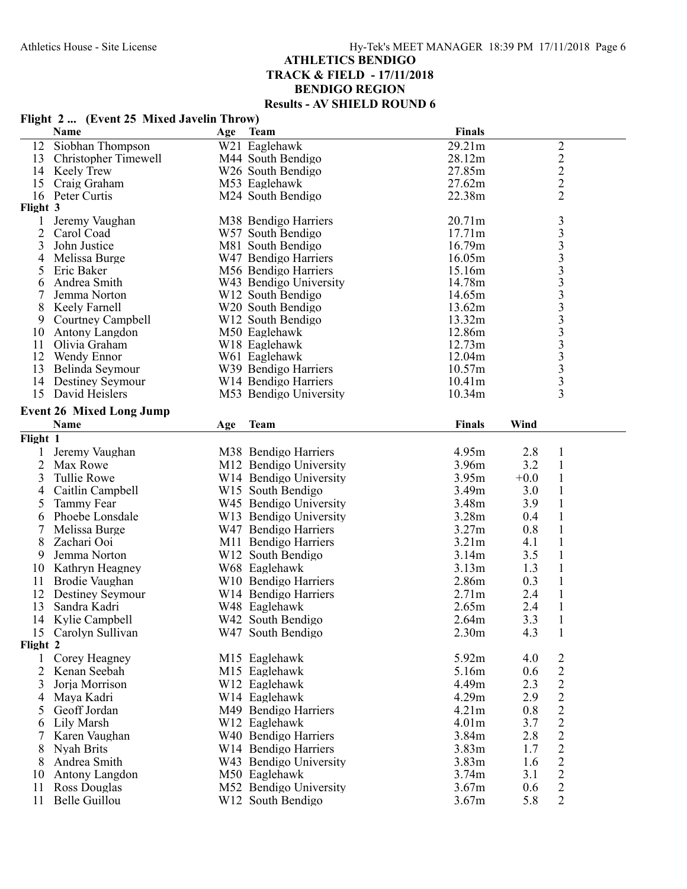|                | Flight 2  (Event 25 Mixed Javelin Throw)  |     |                                                |                   |        |                                               |
|----------------|-------------------------------------------|-----|------------------------------------------------|-------------------|--------|-----------------------------------------------|
|                | Name                                      | Age | <b>Team</b>                                    | <b>Finals</b>     |        |                                               |
| 12             | Siobhan Thompson                          |     | W21 Eaglehawk                                  | 29.21m            |        | $\overline{c}$                                |
| 13             | Christopher Timewell                      |     | M44 South Bendigo                              | 28.12m            |        |                                               |
| 14             | Keely Trew                                |     | W26 South Bendigo                              | 27.85m            |        | $\begin{smallmatrix}2\\2\\2\end{smallmatrix}$ |
| 15             | Craig Graham                              |     | M53 Eaglehawk                                  | 27.62m            |        |                                               |
| 16             | Peter Curtis                              |     | M24 South Bendigo                              | 22.38m            |        | $\overline{2}$                                |
| Flight 3       |                                           |     |                                                |                   |        |                                               |
| 1              | Jeremy Vaughan                            |     | M38 Bendigo Harriers                           | 20.71m            |        |                                               |
| $\overline{2}$ | Carol Coad                                |     | W57 South Bendigo                              | 17.71m            |        |                                               |
| 3              | John Justice                              |     | M81 South Bendigo                              | 16.79m            |        | 33333333333333                                |
| 4              | Melissa Burge                             |     | W47 Bendigo Harriers                           | 16.05m            |        |                                               |
| 5              | Eric Baker                                |     | M56 Bendigo Harriers                           | 15.16m            |        |                                               |
| 6              | Andrea Smith                              |     | W43 Bendigo University                         | 14.78m            |        |                                               |
|                | Jemma Norton                              |     | W <sub>12</sub> South Bendigo                  | 14.65m            |        |                                               |
| 8              | Keely Farnell                             |     | W20 South Bendigo                              | 13.62m            |        |                                               |
| 9              | Courtney Campbell                         |     | W <sub>12</sub> South Bendigo                  | 13.32m            |        |                                               |
| 10             | Antony Langdon                            |     | M50 Eaglehawk                                  | 12.86m            |        |                                               |
| 11             | Olivia Graham                             |     | W18 Eaglehawk                                  | 12.73m            |        |                                               |
| 12             | Wendy Ennor                               |     | W61 Eaglehawk                                  | 12.04m<br>10.57m  |        |                                               |
| 13             | Belinda Seymour                           |     | W39 Bendigo Harriers                           |                   |        |                                               |
| 14             | <b>Destiney Seymour</b><br>David Heislers |     | W14 Bendigo Harriers<br>M53 Bendigo University | 10.41m            |        | 3                                             |
| 15             |                                           |     |                                                | 10.34m            |        |                                               |
|                | <b>Event 26 Mixed Long Jump</b>           |     |                                                |                   |        |                                               |
|                | Name                                      | Age | <b>Team</b>                                    | <b>Finals</b>     | Wind   |                                               |
| Flight 1       |                                           |     |                                                |                   |        |                                               |
| 1              | Jeremy Vaughan                            |     | M38 Bendigo Harriers                           | 4.95m             | 2.8    | $\mathbf{1}$                                  |
| 2              | Max Rowe                                  |     | M12 Bendigo University                         | 3.96m             | 3.2    | $\mathbf{1}$                                  |
| 3              | <b>Tullie Rowe</b>                        |     | W14 Bendigo University                         | 3.95m             | $+0.0$ | $\mathbf{1}$                                  |
| 4              | Caitlin Campbell                          |     | W <sub>15</sub> South Bendigo                  | 3.49m             | 3.0    | $\mathbf{1}$                                  |
| 5              | Tammy Fear                                |     | W45 Bendigo University                         | 3.48m             | 3.9    | $\mathbf{1}$                                  |
| 6              | Phoebe Lonsdale                           |     | W13 Bendigo University                         | 3.28 <sub>m</sub> | 0.4    | $\mathbf{1}$                                  |
|                | Melissa Burge                             |     | W47 Bendigo Harriers                           | 3.27m             | 0.8    | $\mathbf{1}$                                  |
| 8              | Zachari Ooi                               |     | M11 Bendigo Harriers                           | 3.21 <sub>m</sub> | 4.1    | $\mathbf{1}$                                  |
| 9              | Jemma Norton                              |     | W12 South Bendigo                              | 3.14m             | 3.5    | $\mathbf{1}$                                  |
| 10             | Kathryn Heagney                           |     | W68 Eaglehawk                                  | 3.13m             | 1.3    | $\mathbf{1}$                                  |
| 11             | Brodie Vaughan                            |     | W10 Bendigo Harriers                           | 2.86m             | 0.3    | $\mathbf{1}$                                  |
| 12             | Destiney Seymour                          |     | W14 Bendigo Harriers                           | 2.71m             | 2.4    | $\mathbf{1}$                                  |
| 13             | Sandra Kadri                              |     | W48 Eaglehawk                                  | 2.65m             | 2.4    | $\mathbf{1}$                                  |
|                | 14 Kylie Campbell                         |     | W42 South Bendigo                              | 2.64m             | 3.3    | $\mathbf{1}$                                  |
| 15             | Carolyn Sullivan                          |     | W47 South Bendigo                              | 2.30 <sub>m</sub> | 4.3    | 1                                             |
| Flight 2       |                                           |     |                                                |                   |        |                                               |
| $\mathbf{1}$   | Corey Heagney                             |     | M15 Eaglehawk                                  | 5.92m             | 4.0    | 2                                             |
| 2              | Kenan Seebah                              |     | M15 Eaglehawk                                  | 5.16m             | 0.6    | $\overline{c}$                                |
| 3              | Jorja Morrison                            |     | W12 Eaglehawk                                  | 4.49m             | 2.3    | $\overline{c}$                                |
| 4              | Maya Kadri                                |     | W14 Eaglehawk                                  | 4.29m             | 2.9    | $\sqrt{2}$                                    |
| 5              | Geoff Jordan                              |     | M49 Bendigo Harriers                           | 4.21m             | 0.8    | $\overline{c}$                                |
| 6              | Lily Marsh                                |     | W12 Eaglehawk                                  | 4.01 <sub>m</sub> | 3.7    | $\overline{2}$                                |
| 7              | Karen Vaughan                             |     | W40 Bendigo Harriers                           | 3.84m             | 2.8    | $\overline{c}$                                |
| 8              | Nyah Brits                                |     | W14 Bendigo Harriers                           | 3.83 <sub>m</sub> | 1.7    | $\sqrt{2}$                                    |
| 8              | Andrea Smith                              |     | W43 Bendigo University                         | 3.83m             | 1.6    | $\sqrt{2}$                                    |
| 10             | Antony Langdon                            |     | M50 Eaglehawk                                  | 3.74m             | 3.1    | $\overline{2}$                                |
| 11             | Ross Douglas                              |     | M52 Bendigo University                         | 3.67m             | 0.6    | $\sqrt{2}$                                    |
| 11             | Belle Guillou                             |     | W12 South Bendigo                              | 3.67m             | 5.8    | $\overline{2}$                                |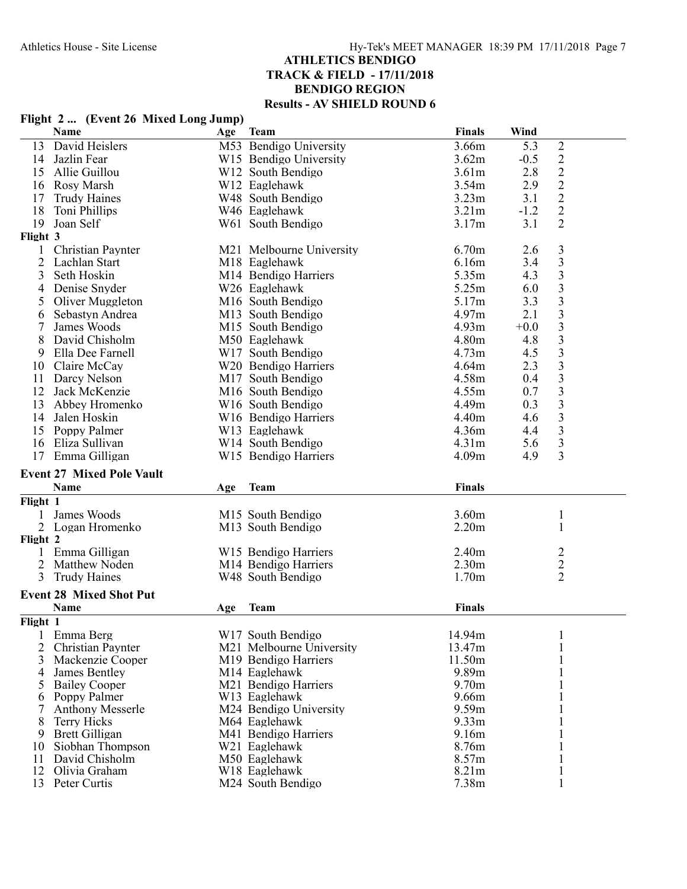### **Name Age Team Finals Wind** 13 David Heislers 19 M53 Bendigo University 14 Jazlin Fear 19 M53 Bendigo University 13.66m 5.3 2<br>14 Jazlin Fear 19 W15 Bendigo University 13.62m -0.5 2 14 Jazlin Fear W15 Bendigo University 3.62m -0.5 2 15 Allie Guillou W12 South Bendigo 3.61m 2.8 2 W12 Eaglehawk 3.54m 2.9 2<br>W48 South Bendigo 3.23m 3.1 2 17 Trudy Haines **18 Was South Bendigo** 18 3.23m 3.1 2<br>18 Toni Phillips **18** Was Eaglehawk 3.21m -1.2 2 18 Toni Phillips W46 Eaglehawk 3.21m -1.2 2  $1900 \text{ N}$  South Bendigo 3.17m  $3.1 \text{ N}$ **Flight 3** 1 Christian Paynter M21 Melbourne University 6.70m 2.6 3 2 Lachlan Start M18 Eaglehawk 6.16m 3.4 3 3 Seth Hoskin M14 Bendigo Harriers 5.35m 4.3 3 4 Denise Snyder W26 Eaglehawk 5.25m 6.0 3 5 Oliver Muggleton 116 South Bendigo 5.17m 3.3 3<br>6 Sebastyn Andrea 113 South Bendigo 1.97m 2.1 3 6 Sebastyn Andrea M13 South Bendigo 4.97m 2.1 3 7 James Woods M15 South Bendigo 4.93m +0.0 3<br>8 David Chisholm M50 Eaglehawk 4.80m 4.8 3 8 David Chisholm M50 Eaglehawk 4.80m 4.8 3 9 Ella Dee Farnell W17 South Bendigo 3 4.73m 4.5 3<br>
0 Claire McCay 3 W20 Bendigo Harriers 4.64m 2.3 3 10 Claire McCay  $N20$  Bendigo Harriers  $4.64$ m  $2.3$  3<br>11 Darcy Nelson  $M17$  South Bendigo  $4.58$ m  $0.4$  3 11 Darcy Nelson 12 Jack McKenzie 11 Darcy Nelson 12 Jack McKenzie 1.58m M16 South Bendigo 1.58m 0.7 3.1 3.5m 0.7 12 Jack McKenzie M16 South Bendigo 4.55m 0.7 3 13 Abbey Hromenko W16 South Bendigo 4.49m 0.3 3 14 Jalen Hoskin W16 Bendigo Harriers 4.40m 4.6 3 15 Poppy Palmer W13 Eaglehawk 4.36m 4.4 3<br>16 Eliza Sullivan W14 South Bendigo 4.31m 5.6 3 16 Eliza Sullivan W14 South Bendigo 4.31m 5.6 3 17 Emma Gilligan **W15 Bendigo Harriers** 4.09m 4.9 **Event 27 Mixed Pole Vault Name Age Team Finals Flight 1** 1 James Woods 1 1 James Woods 1 3.60m<br>
2 Logan Hromenko 1 3 M13 South Bendigo 1 3.20m M13 South Bendigo **Flight 2** 1 Emma Gilligan 1 1 Emma Gilligan 1 2 2 2.40m<br>
2 2 2.30m<br>
3 2 2.30m<br>
3 2 2.30m<br>
2 2.30m<br>
2 2.40m<br>
2 2.30m<br>
2 2.40m<br>
2 2.40m<br>
2 2.40m<br>
2 2.40m<br>
2 2.40m<br>
2 2.40m<br>
2 2.40m<br>
2 2.40m<br>
2 2.40m<br>
2 2.40m<br>
2 2.40m<br>
2 2.40m<br>
2 2.40m 2 Matthew Noden 1.30m M14 Bendigo Harriers 2.30m<br>3 Trudy Haines 1.70m W48 South Bendigo **Event 28 Mixed Shot Put Name Age Team Finals Flight 1** 1 Emma Berg W17 South Bendigo 1 14.94m M21 Melbourne University 3 Mackenzie Cooper 11.50m<br>
4 James Bentley 1 11.50m<br>
1 11.50m<br>
1 11.50m<br>
1 11.50m<br>
1 11.50m<br>
1 11.50m<br>
1 11.50m<br>
1 11.50m<br>
1 11.50m<br>
1 11.50m 4 James Bentley 1 1 and M14 Eaglehawk 1 9.89m 1<br>1 9.70m 1 9.70m 1 1 9.70m 1 1 9.70m M21 Bendigo Harriers 6 Poppy Palmer W13 Eaglehawk 1 9.66m 7 Anthony Messerle 1 1 M24 Bendigo University 1 9.59m 1 1<br>8 Terry Hicks 1 M64 Eaglehawk 9.33m 1 M64 Eaglehawk 9.33m<br>
M41 Bendigo Harriers 9.16m 9 Brett Gilligan 1 1 M41 Bendigo Harriers 9.16m 1 9.16m 1 1 9.16m 1 1 9.16m 1 1 9.16m 1 1 9.16m 1 1 9.16m 1 1 9.16m 1 1 9.16m 1 1 9.16m 1 1 9.16m 1 1 9.16m 1 1 9.16m 1 1 9.16m 1 1 9.16m 1 1 9.16m 1 1 9.16m 1 1 9.16m 1 1 9. 10 Siobhan Thompson W21 Eaglehawk 1 8.76m 11 David Chisholm M50 Eaglehawk<br>
12 Olivia Graham M18 Eaglehawk 12 Olivia Graham 1 1 Website W18 Eaglehawk 1 8.21m 1<br>
13 Peter Curtis 1 M24 South Bendigo 1 7.38m 1

M24 South Bendigo

### **Flight 2 ... (Event 26 Mixed Long Jump)**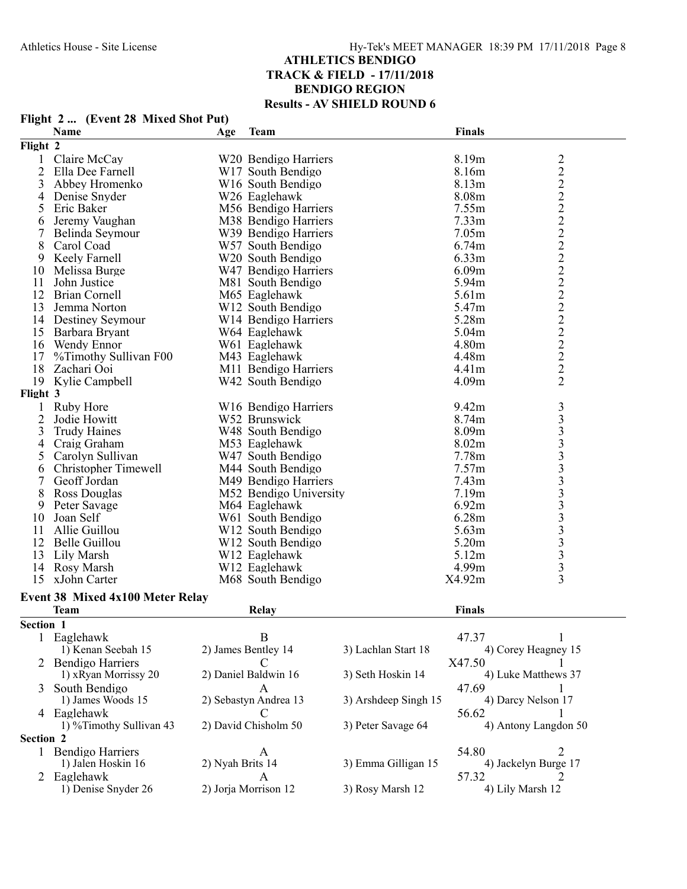|                | <b>Name</b>                             | Age              | <b>Team</b>                   |                      | Finals            |                                   |
|----------------|-----------------------------------------|------------------|-------------------------------|----------------------|-------------------|-----------------------------------|
| Flight 2       |                                         |                  |                               |                      |                   |                                   |
| 1              | Claire McCay                            |                  | W20 Bendigo Harriers          |                      | 8.19m             |                                   |
| $\overline{2}$ | Ella Dee Farnell                        |                  | W17 South Bendigo             |                      | 8.16m             |                                   |
| 3              | Abbey Hromenko                          |                  | W <sub>16</sub> South Bendigo |                      | 8.13m             |                                   |
|                | Denise Snyder                           |                  | W26 Eaglehawk                 |                      | 8.08m             |                                   |
| 4              |                                         |                  |                               |                      |                   |                                   |
| 5              | Eric Baker                              |                  | M56 Bendigo Harriers          |                      | 7.55m             |                                   |
| 6              | Jeremy Vaughan                          |                  | M38 Bendigo Harriers          |                      | 7.33m             |                                   |
| 7              | Belinda Seymour                         |                  | W39 Bendigo Harriers          |                      | 7.05m             |                                   |
| 8              | Carol Coad                              |                  | W57 South Bendigo             |                      | 6.74m             |                                   |
| 9              | Keely Farnell                           |                  | W20 South Bendigo             |                      | 6.33m             |                                   |
| 10             | Melissa Burge                           |                  | W47 Bendigo Harriers          |                      | 6.09m             |                                   |
| 11             | John Justice                            |                  | M81 South Bendigo             |                      | 5.94m             |                                   |
| 12             | <b>Brian Cornell</b>                    |                  | M65 Eaglehawk                 |                      | 5.61m             |                                   |
| 13             | Jemma Norton                            |                  | W12 South Bendigo             |                      | 5.47m             |                                   |
| 14             | <b>Destiney Seymour</b>                 |                  | W14 Bendigo Harriers          |                      | 5.28m             |                                   |
| 15             | Barbara Bryant                          |                  | W64 Eaglehawk                 |                      | 5.04m             |                                   |
| 16             | Wendy Ennor                             |                  | W61 Eaglehawk                 |                      | 4.80m             | 2 2 2 2 2 2 2 2 2 2 2 2 2 2 2 2 2 |
| 17             | %Timothy Sullivan F00                   |                  | M43 Eaglehawk                 |                      | 4.48m             |                                   |
| 18             | Zachari Ooi                             |                  | M11 Bendigo Harriers          |                      | 4.41 <sub>m</sub> |                                   |
| 19             | Kylie Campbell                          |                  | W42 South Bendigo             |                      | 4.09m             | $\overline{2}$                    |
| Flight 3       |                                         |                  |                               |                      |                   |                                   |
| $\mathbf{1}$   | Ruby Hore                               |                  | W16 Bendigo Harriers          |                      | 9.42m             |                                   |
| $\overline{2}$ | Jodie Howitt                            |                  | W52 Brunswick                 |                      | 8.74m             |                                   |
| 3              | <b>Trudy Haines</b>                     |                  | W48 South Bendigo             |                      | 8.09m             |                                   |
| 4              | Craig Graham                            |                  | M53 Eaglehawk                 |                      | 8.02m             |                                   |
|                | Carolyn Sullivan                        |                  | W47 South Bendigo             |                      | 7.78m             |                                   |
| 5              |                                         |                  |                               |                      |                   |                                   |
| 6              | <b>Christopher Timewell</b>             |                  | M44 South Bendigo             |                      | 7.57m             |                                   |
| 7              | Geoff Jordan                            |                  | M49 Bendigo Harriers          |                      | 7.43m             |                                   |
| 8              | Ross Douglas                            |                  | M52 Bendigo University        |                      | 7.19m             |                                   |
| 9              | Peter Savage                            |                  | M64 Eaglehawk                 |                      | 6.92m             |                                   |
| 10             | Joan Self                               |                  | W61 South Bendigo             |                      | 6.28m             |                                   |
| 11             | Allie Guillou                           |                  | W <sub>12</sub> South Bendigo |                      | 5.63m             |                                   |
| 12             | Belle Guillou                           |                  | W12 South Bendigo             |                      | 5.20m             |                                   |
| 13             | Lily Marsh                              |                  | W12 Eaglehawk                 |                      | 5.12m             |                                   |
| 14             | Rosy Marsh                              |                  | W12 Eaglehawk                 |                      | 4.99m             |                                   |
| 15             | xJohn Carter                            |                  | M68 South Bendigo             |                      | X4.92m            | $\overline{3}$                    |
|                | <b>Event 38 Mixed 4x100 Meter Relay</b> |                  |                               |                      |                   |                                   |
|                | <b>Team</b>                             |                  | Relay                         |                      | Finals            |                                   |
| Section 1      |                                         |                  |                               |                      |                   |                                   |
| 1              | Eaglehawk                               |                  | B                             |                      | 47.37             | 1                                 |
|                | 1) Kenan Seebah 15                      |                  | 2) James Bentley 14           | 3) Lachlan Start 18  |                   | 4) Corey Heagney 15               |
|                |                                         |                  |                               |                      |                   |                                   |
|                | 2 Bendigo Harriers                      |                  |                               |                      | X47.50            |                                   |
|                | 1) xRyan Morrissy 20                    |                  | 2) Daniel Baldwin 16          | 3) Seth Hoskin 14    |                   | 4) Luke Matthews 37               |
| 3              | South Bendigo                           |                  | А                             |                      | 47.69             |                                   |
|                | 1) James Woods 15                       |                  | 2) Sebastyn Andrea 13         | 3) Arshdeep Singh 15 |                   | 4) Darcy Nelson 17                |
|                | 4 Eaglehawk                             |                  | C                             |                      | 56.62             |                                   |
|                | 1) %Timothy Sullivan 43                 |                  | 2) David Chisholm 50          | 3) Peter Savage 64   |                   | 4) Antony Langdon 50              |
| Section 2      |                                         |                  |                               |                      |                   |                                   |
|                | 1 Bendigo Harriers                      |                  | A                             |                      | 54.80             | 2                                 |
|                | 1) Jalen Hoskin 16                      | 2) Nyah Brits 14 |                               | 3) Emma Gilligan 15  |                   | 4) Jackelyn Burge 17              |
|                | 2 Eaglehawk                             |                  | A                             |                      | 57.32             | 2                                 |
|                | 1) Denise Snyder 26                     |                  | 2) Jorja Morrison 12          | 3) Rosy Marsh 12     |                   | 4) Lily Marsh 12                  |

# **Flight 2 ... (Event 28 Mixed Shot Put)**